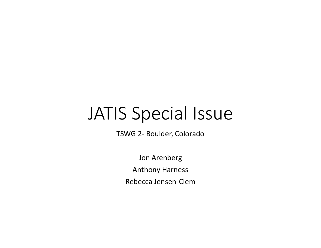# JATIS Special Issue S Special Issue<br>TSWG 2- Boulder, Colorado<br>Jon Arenberg

Jon Arenberg Anthony Harness Rebecca Jensen-Clem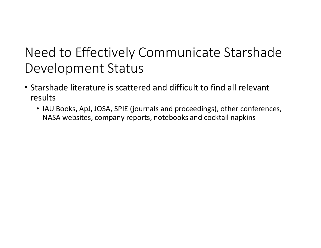## Need to Effectively Communicate Starshade Development Status

- Starshade literature is scattered and difficult to find all relevant results
	- IAU Books, ApJ, JOSA, SPIE (journals and proceedings), other conferences, NASA websites, company reports, notebooks and cocktail napkins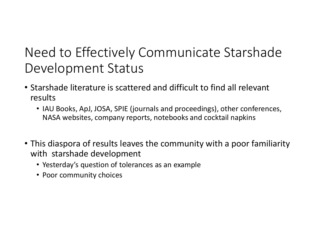## Need to Effectively Communicate Starshade Development Status

- Starshade literature is scattered and difficult to find all relevant results
	- IAU Books, ApJ, JOSA, SPIE (journals and proceedings), other conferences, NASA websites, company reports, notebooks and cocktail napkins
- This diaspora of results leaves the community with a poor familiarity with starshade development
	- Yesterday's question of tolerances as an example
	- Poor community choices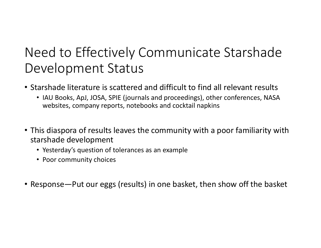## Need to Effectively Communicate Starshade Development Status

- Starshade literature is scattered and difficult to find all relevant results
	- IAU Books, ApJ, JOSA, SPIE (journals and proceedings), other conferences, NASA websites, company reports, notebooks and cocktail napkins
- This diaspora of results leaves the community with a poor familiarity with starshade development
	- Yesterday's question of tolerances as an example
	- Poor community choices
- Response—Put our eggs (results) in one basket, then show off the basket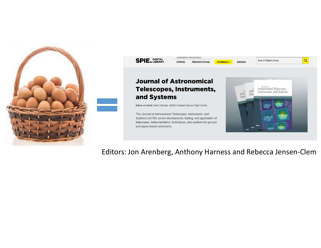



#### Editors: Jon Arenberg, Anthony Harness and Rebecca Jensen-Clem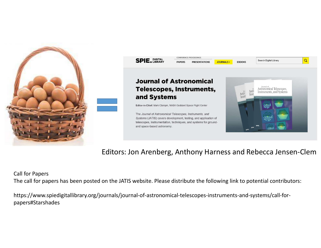



#### Editors: Jon Arenberg, Anthony Harness and Rebecca Jensen-Clem

#### Call for Papers

The call for papers has been posted on the JATIS website. Please distribute the following link to potential contributors:

https://www.spiedigitallibrary.org/journals/journal-of-astronomical-telescopes-instruments-and-systems/call-forpapers#Starshades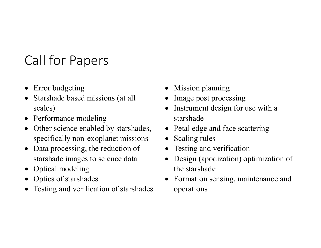## Call for Papers

- Error budgeting
- Starshade based missions (at all scales)
- Performance modeling
- Other science enabled by starshades, specifically non-exoplanet missions  $\bullet$
- Data processing, the reduction of starshade images to science data
- Optical modeling
- Optics of starshades
- Testing and verification of starshades
- Mission planning
- Image post processing
- Instrument design for use with a starshade
- Petal edge and face scattering
- Scaling rules
- Testing and verification
- Design (apodization) optimization of the starshade
- Formation sensing, maintenance and operations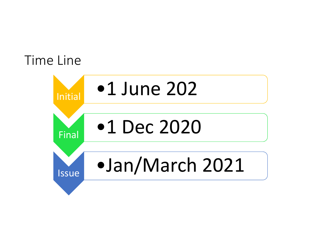### Time Line

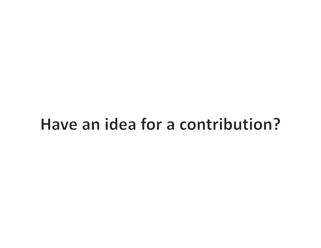# Have an idea for a contribution?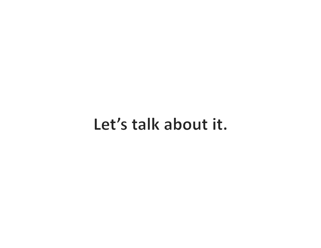# Let's talk about it.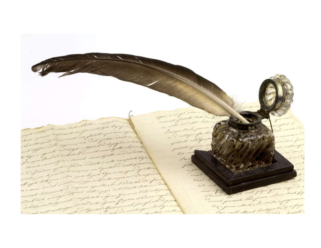